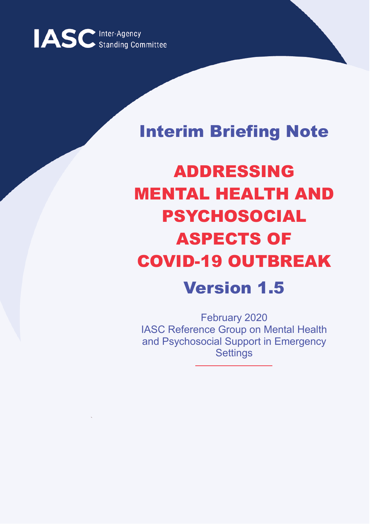

# Interim Briefing Note

# ADDRESSING MENTAL HEALTH AND PSYCHOSOCIAL ASPECTS OF COVID-19 OUTBREAK Version 1.5

February 2020 IASC Reference Group on Mental Health and Psychosocial Support in Emergency **Settings**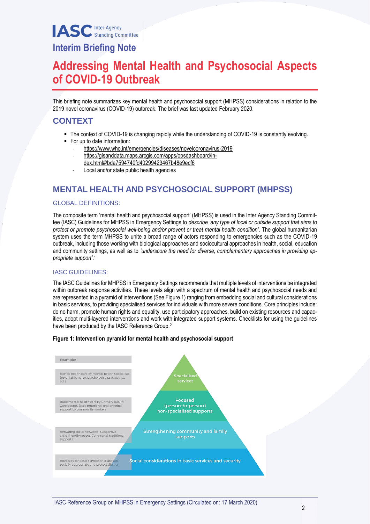# **Interim Briefing Note**

# **Addressing Mental Health and Psychosocial Aspects of COVID-19 Outbreak**

This briefing note summarizes key mental health and psychosocial support (MHPSS) considerations in relation to the 2019 novel coronavirus (COVID-19) outbreak. The brief was last updated February 2020.

## **CONTEXT**

- The context of COVID-19 is changing rapidly while the understanding of COVID-19 is constantly evolving.
- For up to date information:
	- <https://www.who.int/emergencies/diseases/novelcoronavirus-2019>
	- [https://gisanddata.maps.arcgis.com/apps/opsdashboard/in](https://gisanddata.maps.arcgis.com/apps/opsdashboard/index.html#/bda7594740fd40299423467b48e9ecf6)[dex.html#/bda7594740fd40299423467b48e9ecf6](https://gisanddata.maps.arcgis.com/apps/opsdashboard/index.html#/bda7594740fd40299423467b48e9ecf6)
	-
	- Local and/or state public health agencies

## **MENTAL HEALTH AND PSYCHOSOCIAL SUPPORT (MHPSS)**

## GLOBAL DEFINITIONS:

The composite term 'mental health and psychosocial support' (MHPSS) is used in the Inter Agency Standing Committee (IASC) Guidelines for MHPSS in Emergency Settings to *describe 'any type of local or outside support that aims to protect or promote psychosocial well-being and/or prevent or treat mental health condition'.* The global humanitarian system uses the term MHPSS to unite a broad range of actors responding to emergencies such as the COVID-19 outbreak, including those working with biological approaches and sociocultural approaches in health, social, education and community settings, as well as to *'underscore the need for diverse, complementary approaches in providing appropriate support'*. 1

## IASC GUIDELINES:

The IASC Guidelines for MHPSS in Emergency Settings recommends that multiple levels of interventions be integrated within outbreak response activities. These levels align with a spectrum of mental health and psychosocial needs and are represented in a pyramid of interventions (See Figure 1) ranging from embedding social and cultural considerations in basic services, to providing specialised services for individuals with more severe conditions. Core principles include: do no harm, promote human rights and equality, use participatory approaches, build on existing resources and capacities, adopt multi-layered interventions and work with integrated support systems. Checklists for using the guidelines have been produced by the IASC Reference Group.<sup>2</sup>



#### **Figure 1: Intervention pyramid for mental health and psychosocial support**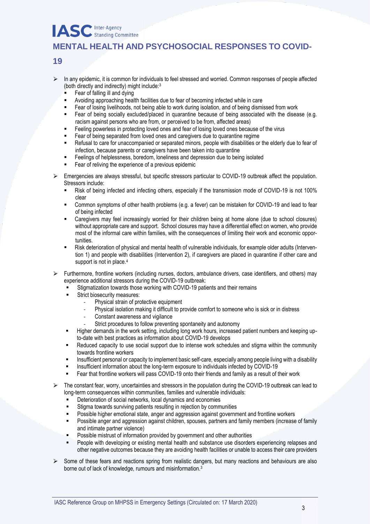## **MENTAL HEALTH AND PSYCHOSOCIAL RESPONSES TO COVID-**

## **19**

- $\triangleright$  In any epidemic, it is common for individuals to feel stressed and worried. Common responses of people affected (both directly and indirectly) might include:<sup>3</sup>
	- Fear of falling ill and dying
	- Avoiding approaching health facilities due to fear of becoming infected while in care
	- Fear of losing livelihoods, not being able to work during isolation, and of being dismissed from work
	- Fear of being socially excluded/placed in quarantine because of being associated with the disease (e.g. racism against persons who are from, or perceived to be from, affected areas)
	- Feeling powerless in protecting loved ones and fear of losing loved ones because of the virus
	- Fear of being separated from loved ones and caregivers due to quarantine regime
	- Refusal to care for unaccompanied or separated minors, people with disabilities or the elderly due to fear of infection, because parents or caregivers have been taken into quarantine
	- Feelings of helplessness, boredom, loneliness and depression due to being isolated
	- Fear of reliving the experience of a previous epidemic
- $\triangleright$  Emergencies are always stressful, but specific stressors particular to COVID-19 outbreak affect the population. Stressors include:
	- Risk of being infected and infecting others, especially if the transmission mode of COVID-19 is not 100% clear
	- Common symptoms of other health problems (e.g. a fever) can be mistaken for COVID-19 and lead to fear of being infected
	- Caregivers may feel increasingly worried for their children being at home alone (due to school closures) without appropriate care and support. School closures may have a differential effect on women, who provide most of the informal care within families, with the consequences of limiting their work and economic opportunities.
	- Risk deterioration of physical and mental health of vulnerable individuals, for example older adults (Intervention 1) and people with disabilities (Intervention 2), if caregivers are placed in quarantine if other care and support is not in place.<sup>4</sup>
- ⮚ Furthermore, frontline workers (including nurses, doctors, ambulance drivers, case identifiers, and others) may experience additional stressors during the COVID-19 outbreak:
	- Stigmatization towards those working with COVID-19 patients and their remains
	- Strict biosecurity measures:
		- Physical strain of protective equipment
		- Physical isolation making it difficult to provide comfort to someone who is sick or in distress
		- Constant awareness and vigilance
		- Strict procedures to follow preventing spontaneity and autonomy
	- Higher demands in the work setting, including long work hours, increased patient numbers and keeping upto-date with best practices as information about COVID-19 develops
	- Reduced capacity to use social support due to intense work schedules and stigma within the community towards frontline workers
	- Insufficient personal or capacity to implement basic self-care, especially among people living with a disability
	- Insufficient information about the long-term exposure to individuals infected by COVID-19
	- Fear that frontline workers will pass COVID-19 onto their friends and family as a result of their work
- ⮚ The constant fear, worry, uncertainties and stressors in the population during the COVID-19 outbreak can lead to long-term consequences within communities, families and vulnerable individuals:
	- Deterioration of social networks, local dynamics and economies
	- Stigma towards surviving patients resulting in rejection by communities
	- Possible higher emotional state, anger and aggression against government and frontline workers
	- Possible anger and aggression against children, spouses, partners and family members (increase of family and intimate partner violence)
	- Possible mistrust of information provided by government and other authorities
	- People with developing or existing mental health and substance use disorders experiencing relapses and other negative outcomes because they are avoiding health facilities or unable to access their care providers
- $\triangleright$  Some of these fears and reactions spring from realistic dangers, but many reactions and behaviours are also borne out of lack of knowledge, rumours and misinformation.3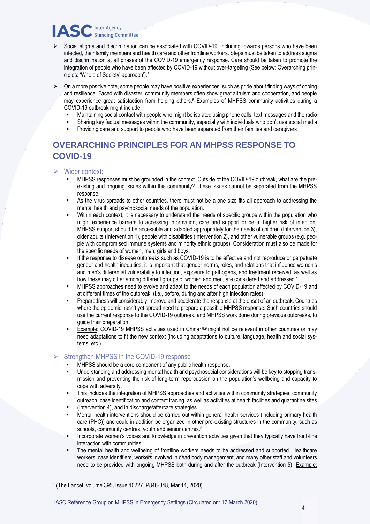- $\triangleright$  Social stigma and discrimination can be associated with COVID-19, including towards persons who have been infected, their family members and health care and other frontline workers. Steps must be taken to address stigma and discrimination at all phases of the COVID-19 emergency response. Care should be taken to promote the integration of people who have been affected by COVID-19 without over-targeting (See below: Overarching principles: 'Whole of Society' approach').<sup>5</sup>
- $\triangleright$  On a more positive note, some people may have positive experiences, such as pride about finding ways of coping and resilience. Faced with disaster, community members often show great altruism and cooperation, and people may experience great satisfaction from helping others.<sup>6</sup> Examples of MHPSS community activities during a COVID-19 outbreak might include:
	- Maintaining social contact with people who might be isolated using phone calls, text messages and the radio
	- Sharing key factual messages within the community, especially with individuals who don't use social media
	- Providing care and support to people who have been separated from their families and caregivers

## **OVERARCHING PRINCIPLES FOR AN MHPSS RESPONSE TO COVID-19**

- $\triangleright$  Wider context:
	- MHPSS responses must be grounded in the context. Outside of the COVID-19 outbreak, what are the preexisting and ongoing issues within this community? These issues cannot be separated from the MHPSS response.
	- As the virus spreads to other countries, there must not be a one size fits all approach to addressing the mental health and psychosocial needs of the population.
	- Within each context, it is necessary to understand the needs of specific groups within the population who might experience barriers to accessing information, care and support or be at higher risk of infection. MHPSS support should be accessible and adapted appropriately for the needs of children (Intervention 3), older adults (Intervention 1), people with disabilities (Intervention 2), and other vulnerable groups (e.g. people with compromised immune systems and minority ethnic groups). Consideration must also be made for the specific needs of women, men, girls and boys.
	- If the response to disease outbreaks such as COVID-19 is to be effective and not reproduce or perpetuate gender and health inequities, it is important that gender norms, roles, and relations that influence women's and men's differential vulnerability to infection, exposure to pathogens, and treatment received, as well as how these may differ among different groups of women and men, are considered and addressed.<sup>1</sup>
	- MHPSS approaches need to evolve and adapt to the needs of each population affected by COVID-19 and at different times of the outbreak. (i.e., before, during and after high infection rates).
	- Preparedness will considerably improve and accelerate the response at the onset of an outbreak. Countries where the epidemic hasn't yet spread need to prepare a possible MHPSS response. Such countries should use the current response to the COVID-19 outbreak, and MHPSS work done during previous outbreaks, to guide their preparation.
	- Example: COVID-19 MHPSS activities used in China<sup>7,8,9</sup> might not be relevant in other countries or may need adaptations to fit the new context (including adaptations to culture, language, health and social systems, etc.).

## Strengthen MHPSS in the COVID-19 response

- MHPSS should be a core component of any public health response.
- Understanding and addressing mental health and psychosocial considerations will be key to stopping transmission and preventing the risk of long-term repercussion on the population's wellbeing and capacity to cope with adversity.
- This includes the integration of MHPSS approaches and activities within community strategies, community outreach, case identification and contact tracing, as well as activities at health facilities and quarantine sites
- (Intervention 4), and in discharge/aftercare strategies.
- Mental health interventions should be carried out within general health services (including primary health care (PHC)) and could in addition be organized in other pre-existing structures in the community, such as schools, community centres, youth and senior centres.<sup>6</sup>
- Incorporate women's voices and knowledge in prevention activities given that they typically have front-line interaction with communities
- The mental health and wellbeing of frontline workers needs to be addressed and supported. Healthcare workers, case identifiers, workers involved in dead body management, and many other staff and volunteers need to be provided with ongoing MHPSS both during and after the outbreak (Intervention 5). Example:

.

<sup>1</sup> (The Lancet, volume 395, Issue 10227, P846-848, Mar 14, 2020).

IASC Reference Group on MHPSS in Emergency Settings (Circulated on: 17 March 2020)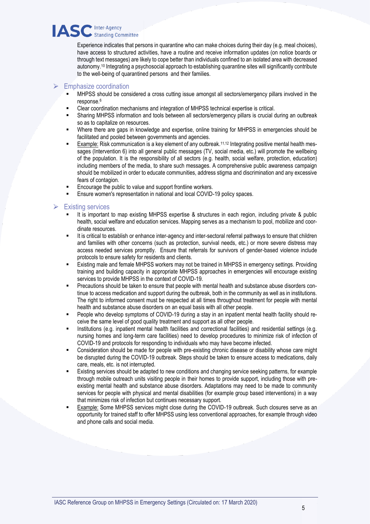Experience indicates that persons in quarantine who can make choices during their day (e.g. meal choices), have access to structured activities, have a routine and receive information updates (on notice boards or through text messages) are likely to cope better than individuals confined to an isolated area with decreased autonomy.<sup>10</sup> Integrating a psychosocial approach to establishing quarantine sites will significantly contribute to the well-being of quarantined persons and their families.

#### **Emphasize coordination**

- MHPSS should be considered a cross cutting issue amongst all sectors/emergency pillars involved in the response.<sup>6</sup>
- Clear coordination mechanisms and integration of MHPSS technical expertise is critical.
- Sharing MHPSS information and tools between all sectors/emergency pillars is crucial during an outbreak so as to capitalize on resources.
- Where there are gaps in knowledge and expertise, online training for MHPSS in emergencies should be facilitated and pooled between governments and agencies.
- Example: Risk communication is a key element of any outbreak.<sup>11,12</sup> Integrating positive mental health messages (Intervention 6) into all general public messages (TV, social media, etc.) will promote the wellbeing of the population. It is the responsibility of all sectors (e.g. health, social welfare, protection, education) including members of the media, to share such messages. A comprehensive public awareness campaign should be mobilized in order to educate communities, address stigma and discrimination and any excessive fears of contagion.
- Encourage the public to value and support frontline workers.
- Ensure women's representation in national and local COVID-19 policy spaces.

## $\triangleright$  Existing services

- It is important to map existing MHPSS expertise & structures in each region, including private & public health, social welfare and education services. Mapping serves as a mechanism to pool, mobilize and coordinate resources.
- It is critical to establish or enhance inter-agency and inter-sectoral referral pathways to ensure that children and families with other concerns (such as protection, survival needs, etc.) or more severe distress may access needed services promptly. Ensure that referrals for survivors of gender-based violence include protocols to ensure safety for residents and clients.
- Existing male and female MHPSS workers may not be trained in MHPSS in emergency settings. Providing training and building capacity in appropriate MHPSS approaches in emergencies will encourage existing services to provide MHPSS in the context of COVID-19.
- Precautions should be taken to ensure that people with mental health and substance abuse disorders continue to access medication and support during the outbreak, both in the community as well as in institutions. The right to informed consent must be respected at all times throughout treatment for people with mental health and substance abuse disorders on an equal basis with all other people.
- People who develop symptoms of COVID-19 during a stay in an inpatient mental health facility should receive the same level of good quality treatment and support as all other people.
- Institutions (e.g. inpatient mental health facilities and correctional facilities) and residential settings (e.g. nursing homes and long-term care facilities) need to develop procedures to minimize risk of infection of COVID-19 and protocols for responding to individuals who may have become infected.
- Consideration should be made for people with pre-existing chronic disease or disability whose care might be disrupted during the COVID-19 outbreak. Steps should be taken to ensure access to medications, daily care, meals, etc. is not interrupted.
- Existing services should be adapted to new conditions and changing service seeking patterns, for example through mobile outreach units visiting people in their homes to provide support, including those with preexisting mental health and substance abuse disorders. Adaptations may need to be made to community services for people with physical and mental disabilities (for example group based interventions) in a way that minimizes risk of infection but continues necessary support.
- Example: Some MHPSS services might close during the COVID-19 outbreak. Such closures serve as an opportunity for trained staff to offer MHPSS using less conventional approaches, for example through video and phone calls and social media.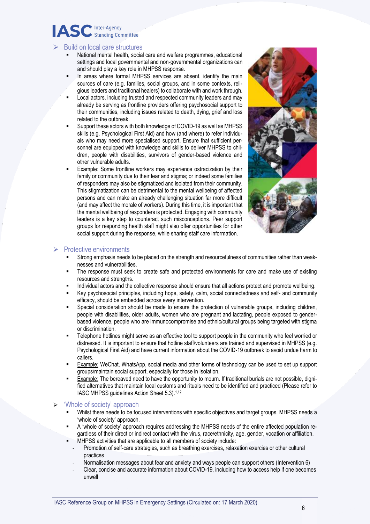# ASC Inter-Agency

## ⮚ Build on local care structures

- National mental health, social care and welfare programmes, educational settings and local governmental and non-governmental organizations can and should play a key role in MHPSS response.
- In areas where formal MHPSS services are absent, identify the main sources of care (e.g. families, social groups, and in some contexts, religious leaders and traditional healers) to collaborate with and work through.
- Local actors, including trusted and respected community leaders and may already be serving as frontline providers offering psychosocial support to their communities, including issues related to death, dying, grief and loss related to the outbreak.
- Support these actors with both knowledge of COVID-19 as well as MHPSS skills (e.g. Psychological First Aid) and how (and where) to refer individuals who may need more specialised support. Ensure that sufficient personnel are equipped with knowledge and skills to deliver MHPSS to children, people with disabilities, survivors of gender-based violence and other vulnerable adults.
- Example: Some frontline workers may experience ostracization by their family or community due to their fear and stigma; or indeed some families of responders may also be stigmatized and isolated from their community. This stigmatization can be detrimental to the mental wellbeing of affected persons and can make an already challenging situation far more difficult (and may affect the morale of workers). During this time, it is important that the mental wellbeing of responders is protected. Engaging with community leaders is a key step to counteract such misconceptions. Peer support groups for responding health staff might also offer opportunities for other social support during the response, while sharing staff care information.



## $\triangleright$  Protective environments

- Strong emphasis needs to be placed on the strength and resourcefulness of communities rather than weaknesses and vulnerabilities.
- The response must seek to create safe and protected environments for care and make use of existing resources and strengths.
- Individual actors and the collective response should ensure that all actions protect and promote wellbeing.
- Key psychosocial principles, including hope, safety, calm, social connectedness and self- and community efficacy, should be embedded across every intervention.
- Special consideration should be made to ensure the protection of vulnerable groups, including children, people with disabilities, older adults, women who are pregnant and lactating, people exposed to genderbased violence, people who are immunocompromise and ethnic/cultural groups being targeted with stigma or discrimination.
- Telephone hotlines might serve as an effective tool to support people in the community who feel worried or distressed. It is important to ensure that hotline staff/volunteers are trained and supervised in MHPSS (e.g. Psychological First Aid) and have current information about the COVID-19 outbreak to avoid undue harm to callers.
- Example: WeChat, WhatsApp, social media and other forms of technology can be used to set up support groups/maintain social support, especially for those in isolation.
- Example: The bereaved need to have the opportunity to mourn. If traditional burials are not possible, dignified alternatives that maintain local customs and rituals need to be identified and practiced (Please refer to IASC MHPSS quidelines Action Sheet 5.3).<sup>1,12</sup>

## 'Whole of society' approach

- Whilst there needs to be focused interventions with specific objectives and target groups. MHPSS needs a 'whole of society' approach.
- A 'whole of society' approach requires addressing the MHPSS needs of the entire affected population regardless of their direct or indirect contact with the virus, race/ethnicity, age, gender, vocation or affiliation.
- MHPSS activities that are applicable to all members of society include:
	- Promotion of self-care strategies, such as breathing exercises, relaxation exercies or other cultural practices
	- Normalisation messages about fear and anxiety and ways people can support others (Intervention 6)
	- Clear, concise and accurate information about COVID-19, including how to access help if one becomes unwell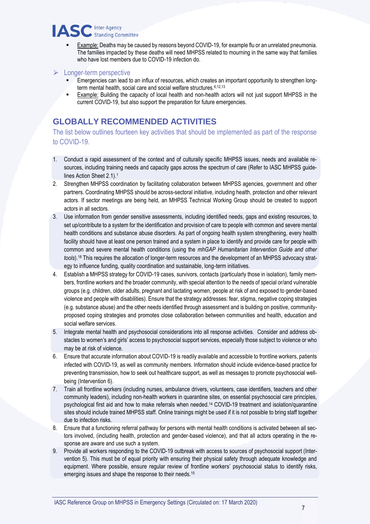

- Example: Deaths may be caused by reasons beyond COVID-19, for example flu or an unrelated pneumonia. The families impacted by these deaths will need MHPSS related to mourning in the same way that families who have lost members due to COVID-19 infection do.
- $\triangleright$  Longer-term perspective
	- Emergencies can lead to an influx of resources, which creates an important opportunity to strengthen longterm mental health, social care and social welfare structures. 6,12,13
	- Example: Building the capacity of local health and non-health actors will not just support MHPSS in the current COVID-19, but also support the preparation for future emergencies.

## **GLOBALLY RECOMMENDED ACTIVITIES**

The list below outlines fourteen key activities that should be implemented as part of the response to COVID-19.

- 1. Conduct a rapid assessment of the context and of culturally specific MHPSS issues, needs and available resources, including training needs and capacity gaps across the spectrum of care (Refer to IASC MHPSS guidelines Action Sheet 2.1).<sup>1</sup>
- 2. Strengthen MHPSS coordination by facilitating collaboration between MHPSS agencies, government and other partners. Coordinating MHPSS should be across-sectoral initiative, including health, protection and other relevant actors. If sector meetings are being held, an MHPSS Technical Working Group should be created to support actors in all sectors.
- 3. Use information from gender sensitive assessments, including identified needs, gaps and existing resources, to set up/contribute to a system for the identification and provision of care to people with common and severe mental health conditions and substance abuse disorders. As part of ongoing health system strengthening, every health facility should have at least one person trained and a system in place to identify and provide care for people with common and severe mental health conditions (using the *mhGAP Humanitarian Intervention Guide and other tools*).<sup>18</sup> This requires the allocation of longer-term resources and the development of an MHPSS advocacy strategy to influence funding, quality coordination and sustainable, long-term initiatives.
- 4. Establish a MHPSS strategy for COVID-19 cases, survivors, contacts (particularly those in isolation), family members, frontline workers and the broader community, with special attention to the needs of special or/and vulnerable groups (e.g. children, older adults, pregnant and lactating women, people at risk of and exposed to gender-based violence and people with disabilities). Ensure that the strategy addresses: fear, stigma, negative coping strategies (e.g. substance abuse) and the other needs identified through assessment and is building on positive, communityproposed coping strategies and promotes close collaboration between communities and health, education and social welfare services.
- 5. Integrate mental health and psychosocial considerations into all response activities. Consider and address obstacles to women's and girls' access to psychosocial support services, especially those subject to violence or who may be at risk of violence.
- 6. Ensure that accurate information about COVID-19 is readily available and accessible to frontline workers, patients infected with COVID-19, as well as community members. Information should include evidence-based practice for preventing transmission, how to seek out healthcare support, as well as messages to promote psychosocial wellbeing (Intervention 6).
- 7. Train all frontline workers (including nurses, ambulance drivers, volunteers, case identifiers, teachers and other community leaders), including non-health workers in quarantine sites, on essential psychosocial care principles, psychological first aid and how to make referrals when needed.<sup>14</sup> COVID-19 treatment and isolation/quarantine sites should include trained MHPSS staff. Online trainings might be used if it is not possible to bring staff together due to infection risks.
- 8. Ensure that a functioning referral pathway for persons with mental health conditions is activated between all sectors involved, (including health, protection and gender-based violence), and that all actors operating in the response are aware and use such a system.
- 9. Provide all workers responding to the COVID-19 outbreak with access to sources of psychosocial support (Intervention 5). This must be of equal priority with ensuring their physical safety through adequate knowledge and equipment. Where possible, ensure regular review of frontline workers' psychosocial status to identify risks, emerging issues and shape the response to their needs.15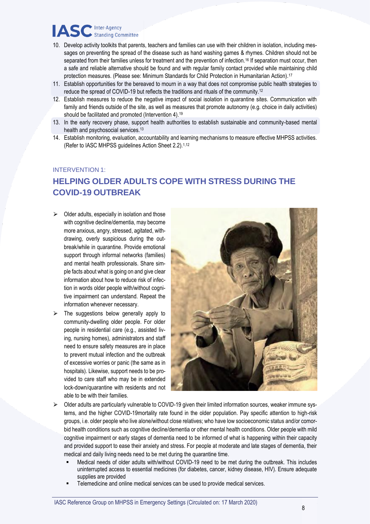# **IASC** Inter-Agency

- 10. Develop activity toolkits that parents, teachers and families can use with their children in isolation, including messages on preventing the spread of the disease such as hand washing games & rhymes. Children should not be separated from their families unless for treatment and the prevention of infection.<sup>16</sup> If separation must occur, then a safe and reliable alternative should be found and with regular family contact provided while maintaining child protection measures. (Please see: Minimum Standards for Child Protection in Humanitarian Action).<sup>17</sup>
- 11. Establish opportunities for the bereaved to mourn in a way that does not compromise public health strategies to reduce the spread of COVID-19 but reflects the traditions and rituals of the community.<sup>12</sup>
- 12. Establish measures to reduce the negative impact of social isolation in quarantine sites. Communication with family and friends outside of the site, as well as measures that promote autonomy (e.g. choice in daily activities) should be facilitated and promoted (Intervention 4).<sup>19</sup>
- 13. In the early recovery phase, support health authorities to establish sustainable and community-based mental health and psychosocial services.<sup>13</sup>
- 14. Establish monitoring, evaluation, accountability and learning mechanisms to measure effective MHPSS activities. (Refer to IASC MHPSS guidelines Action Sheet 2.2).1,12

#### INTERVENTION 1:

## **HELPING OLDER ADULTS COPE WITH STRESS DURING THE COVID-19 OUTBREAK**

- $\triangleright$  Older adults, especially in isolation and those with cognitive decline/dementia, may become more anxious, angry, stressed, agitated, withdrawing, overly suspicious during the outbreak/while in quarantine. Provide emotional support through informal networks (families) and mental health professionals. Share simple facts about what is going on and give clear information about how to reduce risk of infection in words older people with/without cognitive impairment can understand. Repeat the information whenever necessary.
- $\triangleright$  The suggestions below generally apply to community-dwelling older people. For older people in residential care (e.g., assisted living, nursing homes), administrators and staff need to ensure safety measures are in place to prevent mutual infection and the outbreak of excessive worries or panic (the same as in hospitals). Likewise, support needs to be provided to care staff who may be in extended lock-down/quarantine with residents and not able to be with their families.



- $\triangleright$  Older adults are particularly vulnerable to COVID-19 given their limited information sources, weaker immune systems, and the higher COVID-19mortality rate found in the older population. Pay specific attention to high-risk groups, i.e. older people who live alone/without close relatives; who have low socioeconomic status and/or comorbid health conditions such as cognitive decline/dementia or other mental health conditions. Older people with mild cognitive impairment or early stages of dementia need to be informed of what is happening within their capacity and provided support to ease their anxiety and stress. For people at moderate and late stages of dementia, their medical and daily living needs need to be met during the quarantine time.
	- Medical needs of older adults with/without COVID-19 need to be met during the outbreak. This includes uninterrupted access to essential medicines (for diabetes, cancer, kidney disease, HIV). Ensure adequate supplies are provided
	- Telemedicine and online medical services can be used to provide medical services.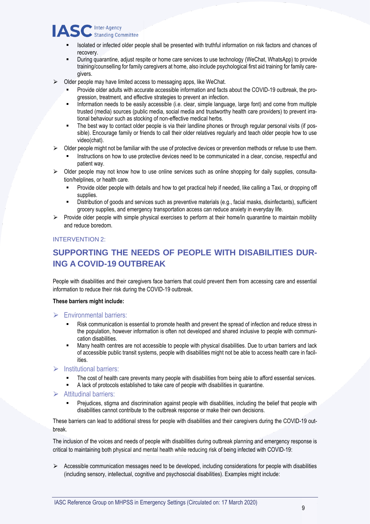- Isolated or infected older people shall be presented with truthful information on risk factors and chances of recovery.
- During quarantine, adjust respite or home care services to use technology (WeChat, WhatsApp) to provide training/counselling for family caregivers at home, also include psychological first aid training for family caregivers.
- $\triangleright$  Older people may have limited access to messaging apps, like WeChat.
	- Provide older adults with accurate accessible information and facts about the COVID-19 outbreak, the progression, treatment, and effective strategies to prevent an infection.
	- Information needs to be easily accessible (i.e. clear, simple language, large font) and come from multiple trusted (media) sources (public media, social media and trustworthy health care providers) to prevent irrational behaviour such as stocking of non-effective medical herbs.
	- The best way to contact older people is via their landline phones or through regular personal visits (if possible). Encourage family or friends to call their older relatives regularly and teach older people how to use video(chat).
- ⮚ Older people might not be familiar with the use of protective devices or prevention methods or refuse to use them.
	- Instructions on how to use protective devices need to be communicated in a clear, concise, respectful and patient way.
- ⮚ Older people may not know how to use online services such as online shopping for daily supplies, consultation/helplines, or health care.
	- Provide older people with details and how to get practical help if needed, like calling a Taxi, or dropping off supplies.
	- Distribution of goods and services such as preventive materials (e.g., facial masks, disinfectants), sufficient grocery supplies, and emergency transportation access can reduce anxiety in everyday life.
- $\triangleright$  Provide older people with simple physical exercises to perform at their home/in quarantine to maintain mobility and reduce boredom.

## INTERVENTION 2:

## **SUPPORTING THE NEEDS OF PEOPLE WITH DISABILITIES DUR-ING A COVID-19 OUTBREAK**

People with disabilities and their caregivers face barriers that could prevent them from accessing care and essential information to reduce their risk during the COVID-19 outbreak.

#### **These barriers might include:**

## $\triangleright$  Environmental barriers:

- Risk communication is essential to promote health and prevent the spread of infection and reduce stress in the population, however information is often not developed and shared inclusive to people with communication disabilities.
- Many health centres are not accessible to people with physical disabilities. Due to urban barriers and lack of accessible public transit systems, people with disabilities might not be able to access health care in facilities.

## **Institutional barriers:**

- The cost of health care prevents many people with disabilities from being able to afford essential services.
- A lack of protocols established to take care of people with disabilities in quarantine.

## $\triangleright$  Attitudinal barriers:

▪ Prejudices, stigma and discrimination against people with disabilities, including the belief that people with disabilities cannot contribute to the outbreak response or make their own decisions.

These barriers can lead to additional stress for people with disabilities and their caregivers during the COVID-19 outbreak.

The inclusion of the voices and needs of people with disabilities during outbreak planning and emergency response is critical to maintaining both physical and mental health while reducing risk of being infected with COVID-19:

⮚ Accessible communication messages need to be developed, including considerations for people with disabilities (including sensory, intellectual, cognitive and psychosocial disabilities). Examples might include: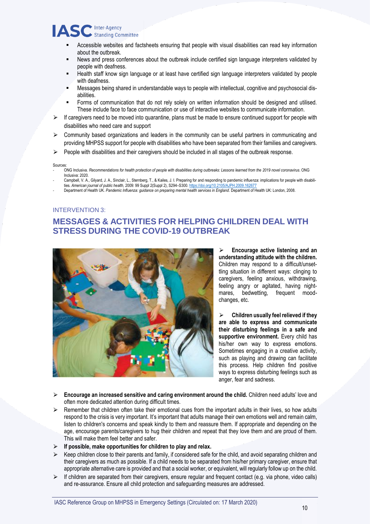# **IASC** Inter-Agency

- Accessible websites and factsheets ensuring that people with visual disabilities can read key information about the outbreak.
- News and press conferences about the outbreak include certified sign language interpreters validated by people with deafness.
- Health staff know sign language or at least have certified sign language interpreters validated by people with deafness.
- Messages being shared in understandable ways to people with intellectual, cognitive and psychosocial disabilities.
- Forms of communication that do not rely solely on written information should be designed and utilised. These include face to face communication or use of interactive websites to communicate information.
- ⮚ If caregivers need to be moved into quarantine, plans must be made to ensure continued support for people with disabilities who need care and support
- $\triangleright$  Community based organizations and leaders in the community can be useful partners in communicating and providing MHPSS support for people with disabilities who have been separated from their families and caregivers.
- $\triangleright$  People with disabilities and their caregivers should be included in all stages of the outbreak response.

#### Sources:

- ONG Inclusiva. *Recommendations for health protection of people with disabilities during outbreaks: Lessons learned from the 2019 novel coronavirus*. ONG Inclusiva: 2020.
- Campbell, V. A., Gilyard, J. A., Sinclair, L., Sternberg, T., & Kailes, J. I. Preparing for and responding to pandemic influenza: implications for people with disabilities. *American journal of public health,* 2009: 99 Suppl 2(Suppl 2), S294–S300[. https://doi.org/10.2105/AJPH.2009.162677](https://doi.org/10.2105/AJPH.2009.162677)
- Department of Health UK. *Pandemic Influenza: guidance on preparing mental health services in England*. Department of Health UK: London, 2008.

#### INTERVENTION 3:

## **MESSAGES & ACTIVITIES FOR HELPING CHILDREN DEAL WITH STRESS DURING THE COVID-19 OUTBREAK**



⮚ **Encourage active listening and an understanding attitude with the children.** Children may respond to a difficult/unsettling situation in different ways: clinging to caregivers, feeling anxious, withdrawing, feeling angry or agitated, having nightmares, bedwetting, frequent moodchanges, etc.

⮚ **Children usually feel relieved if they are able to express and communicate their disturbing feelings in a safe and supportive environment.** Every child has his/her own way to express emotions. Sometimes engaging in a creative activity, such as playing and drawing can facilitate this process. Help children find positive ways to express disturbing feelings such as anger, fear and sadness.

- ⮚ **Encourage an increased sensitive and caring environment around the child.** Children need adults' love and often more dedicated attention during difficult times.
- $\triangleright$  Remember that children often take their emotional cues from the important adults in their lives, so how adults respond to the crisis is very important. It's important that adults manage their own emotions well and remain calm, listen to children's concerns and speak kindly to them and reassure them. If appropriate and depending on the age, encourage parents/caregivers to hug their children and repeat that they love them and are proud of them. This will make them feel better and safer.
- ⮚ **If possible, make opportunities for children to play and relax.**
- $\triangleright$  Keep children close to their parents and family, if considered safe for the child, and avoid separating children and their caregivers as much as possible. If a child needs to be separated from his/her primary caregiver, ensure that appropriate alternative care is provided and that a social worker, or equivalent, will regularly follow up on the child.
- $\triangleright$  If children are separated from their caregivers, ensure regular and frequent contact (e.g. via phone, video calls) and re-assurance. Ensure all child protection and safeguarding measures are addressed.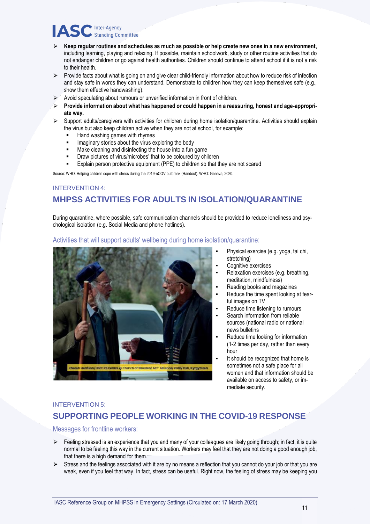- $\triangleright$  Keep regular routines and schedules as much as possible or help create new ones in a new environment, including learning, playing and relaxing. If possible, maintain schoolwork, study or other routine activities that do not endanger children or go against health authorities. Children should continue to attend school if it is not a risk to their health.
- $\triangleright$  Provide facts about what is going on and give clear child-friendly information about how to reduce risk of infection and stay safe in words they can understand. Demonstrate to children how they can keep themselves safe (e.g., show them effective handwashing).
- $\triangleright$  Avoid speculating about rumours or unverified information in front of children.
- ⮚ **Provide information about what has happened or could happen in a reassuring, honest and age-appropriate way.**
- Support adults/caregivers with activities for children during home isolation/quarantine. Activities should explain the virus but also keep children active when they are not at school, for example:
	- Hand washing games with rhymes
	- Imaginary stories about the virus exploring the body
	- Make cleaning and disinfecting the house into a fun game
	- Draw pictures of virus/microbes' that to be coloured by children
	- Explain person protective equipment (PPE) to children so that they are not scared

Source: WHO. Helping children cope with stress during the 2019-nCOV outbreak (Handout). WHO: Geneva, 2020.

## INTERVENTION 4: **MHPSS ACTIVITIES FOR ADULTS IN ISOLATION/QUARANTINE**

During quarantine, where possible, safe communication channels should be provided to reduce loneliness and psychological isolation (e.g. Social Media and phone hotlines).

## Activities that will support adults' wellbeing during home isolation/quarantine:



- Physical exercise (e.g. yoga, tai chi, stretching)
- Cognitive exercises
- Relaxation exercises (e.g. breathing, meditation, mindfulness)
- Reading books and magazines
- Reduce the time spent looking at fearful images on TV
- Reduce time listening to rumours
- Search information from reliable sources (national radio or national news bulletins
- Reduce time looking for information (1-2 times per day, rather than every hour
- It should be recognized that home is sometimes not a safe place for all women and that information should be available on access to safety, or immediate security.

#### INTERVENTION 5:

## **SUPPORTING PEOPLE WORKING IN THE COVID-19 RESPONSE**

Messages for frontline workers:

- $\triangleright$  Feeling stressed is an experience that you and many of your colleagues are likely going through; in fact, it is quite normal to be feeling this way in the current situation. Workers may feel that they are not doing a good enough job, that there is a high demand for them.
- $\triangleright$  Stress and the feelings associated with it are by no means a reflection that you cannot do your job or that you are weak, even if you feel that way. In fact, stress can be useful. Right now, the feeling of stress may be keeping you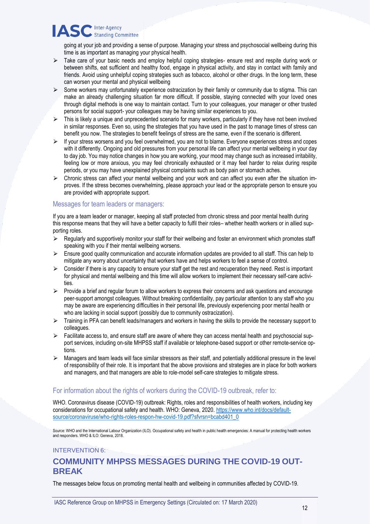going at your job and providing a sense of purpose. Managing your stress and psychosocial wellbeing during this time is as important as managing your physical health.

- $\triangleright$  Take care of your basic needs and employ helpful coping strategies- ensure rest and respite during work or between shifts, eat sufficient and healthy food, engage in physical activity, and stay in contact with family and friends. Avoid using unhelpful coping strategies such as tobacco, alcohol or other drugs. In the long term, these can worsen your mental and physical wellbeing
- $\triangleright$  Some workers may unfortunately experience ostracization by their family or community due to stigma. This can make an already challenging situation far more difficult. If possible, staying connected with your loved ones through digital methods is one way to maintain contact. Turn to your colleagues, your manager or other trusted persons for social support- your colleagues may be having similar experiences to you.
- $\triangleright$  This is likely a unique and unprecedented scenario for many workers, particularly if they have not been involved in similar responses. Even so, using the strategies that you have used in the past to manage times of stress can benefit you now. The strategies to benefit feelings of stress are the same, even if the scenario is different.
- ⮚ If your stress worsens and you feel overwhelmed, you are not to blame. Everyone experiences stress and copes with it differently. Ongoing and old pressures from your personal life can affect your mental wellbeing in your day to day job. You may notice changes in how you are working, your mood may change such as increased irritability, feeling low or more anxious, you may feel chronically exhausted or it may feel harder to relax during respite periods, or you may have unexplained physical complaints such as body pain or stomach aches.
- $\triangleright$  Chronic stress can affect your mental wellbeing and your work and can affect you even after the situation improves. If the stress becomes overwhelming, please approach your lead or the appropriate person to ensure you are provided with appropriate support.

## Messages for team leaders or managers:

If you are a team leader or manager, keeping all staff protected from chronic stress and poor mental health during this response means that they will have a better capacity to fulfil their roles– whether health workers or in allied supporting roles.

- $\triangleright$  Regularly and supportively monitor your staff for their wellbeing and foster an environment which promotes staff speaking with you if their mental wellbeing worsens.
- $\triangleright$  Ensure good quality communication and accurate information updates are provided to all staff. This can help to mitigate any worry about uncertainty that workers have and helps workers to feel a sense of control.
- $\triangleright$  Consider if there is any capacity to ensure your staff get the rest and recuperation they need. Rest is important for physical and mental wellbeing and this time will allow workers to implement their necessary self-care activities.
- $\triangleright$  Provide a brief and regular forum to allow workers to express their concerns and ask questions and encourage peer-support amongst colleagues. Without breaking confidentiality, pay particular attention to any staff who you may be aware are experiencing difficulties in their personal life, previously experiencing poor mental health or who are lacking in social support (possibly due to community ostracization).
- $\triangleright$  Training in PFA can benefit leads/managers and workers in having the skills to provide the necessary support to colleagues.
- $\triangleright$  Facilitate access to, and ensure staff are aware of where they can access mental health and psychosocial support services, including on-site MHPSS staff if available or telephone-based support or other remote-service options.
- $\triangleright$  Managers and team leads will face similar stressors as their staff, and potentially additional pressure in the level of responsibility of their role. It is important that the above provisions and strategies are in place for both workers and managers, and that managers are able to role-model self-care strategies to mitigate stress.

## For information about the rights of workers during the COVID-19 outbreak, refer to:

WHO. Coronavirus disease (COVID-19) outbreak: Rights, roles and responsibilities of health workers, including key considerations for occupational safety and health. WHO: Geneva, 2020. [https://www.who.int/docs/default](https://www.who.int/docs/default-source/coronaviruse/who-rights-roles-respon-hw-covid-19.pdf?sfvrsn=bcabd401_0)[source/coronaviruse/who-rights-roles-respon-hw-covid-19.pdf?sfvrsn=bcabd401\\_0](https://www.who.int/docs/default-source/coronaviruse/who-rights-roles-respon-hw-covid-19.pdf?sfvrsn=bcabd401_0)

Source: WHO and the International Labour Organization (ILO). Occupational safety and health in public health emergencies: A manual for protecting health workers and responders. WHO & ILO: Geneva, 2018.

## INTERVENTION 6:

## **COMMUNITY MHPSS MESSAGES DURING THE COVID-19 OUT-BREAK**

The messages below focus on promoting mental health and wellbeing in communities affected by COVID-19.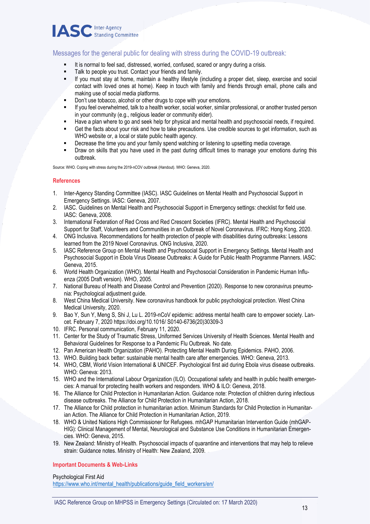

## Messages for the general public for dealing with stress during the COVID-19 outbreak:

- It is normal to feel sad, distressed, worried, confused, scared or angry during a crisis.
- Talk to people you trust. Contact your friends and family.
- If you must stay at home, maintain a healthy lifestyle (including a proper diet, sleep, exercise and social contact with loved ones at home). Keep in touch with family and friends through email, phone calls and making use of social media platforms.
- Don't use tobacco, alcohol or other drugs to cope with your emotions.
- If you feel overwhelmed, talk to a health worker, social worker, similar professional, or another trusted person in your community (e.g., religious leader or community elder).
- Have a plan where to go and seek help for physical and mental health and psychosocial needs, if required.
- Get the facts about your risk and how to take precautions. Use credible sources to get information, such as WHO website or, a local or state public health agency.
- Decrease the time you and your family spend watching or listening to upsetting media coverage.
- Draw on skills that you have used in the past during difficult times to manage your emotions during this outbreak.

Source: WHO. Coping with stress during the 2019-nCOV outbreak (Handout). WHO: Geneva, 2020.

#### **References**

- 1. Inter-Agency Standing Committee (IASC). IASC Guidelines on Mental Health and Psychosocial Support in Emergency Settings. IASC: Geneva, 2007.
- 2. IASC. Guidelines on Mental Health and Psychosocial Support in Emergency settings: checklist for field use. IASC: Geneva, 2008.
- 3. International Federation of Red Cross and Red Crescent Societies (IFRC). Mental Health and Psychosocial Support for Staff, Volunteers and Communities in an Outbreak of Novel Coronavirus. IFRC: Hong Kong, 2020.
- 4. ONG Inclusiva. Recommendations for health protection of people with disabilities during outbreaks: Lessons learned from the 2019 Novel Coronavirus. ONG Inclusiva, 2020.
- 5. IASC Reference Group on Mental Health and Psychosocial Support in Emergency Settings. Mental Health and Psychosocial Support in Ebola Virus Disease Outbreaks: A Guide for Public Health Programme Planners. IASC: Geneva, 2015.
- 6. World Health Organization (WHO). Mental Health and Psychosocial Consideration in Pandemic Human Influenza (2005 Draft version). WHO, 2005.
- 7. National Bureau of Health and Disease Control and Prevention (2020). Response to new coronavirus pneumonia: Psychological adjustment guide.
- 8. West China Medical University. New coronavirus handbook for public psychological protection. West China Medical University, 2020.
- 9. Bao Y, Sun Y, Meng S, Shi J, Lu L. 2019-nCoV epidemic: address mental health care to empower society. Lancet. February 7, 2020 https://doi.org/10.1016/ S0140-6736(20)30309-3
- 10. IFRC. Personal communication, February 11, 2020.
- 11. Center for the Study of Traumatic Stress, Uniformed Services University of Health Sciences. Mental Health and Behavioral Guidelines for Response to a Pandemic Flu Outbreak. No date.
- 12. Pan American Health Organization (PAHO). Protecting Mental Health During Epidemics. PAHO, 2006.
- 13. WHO. Building back better: sustainable mental health care after emergencies. WHO: Geneva, 2013.
- 14. WHO, CBM, World Vision International & UNICEF. Psychological first aid during Ebola virus disease outbreaks. WHO: Geneva: 2013.
- 15. WHO and the International Labour Organization (ILO). Occupational safety and health in public health emergencies: A manual for protecting health workers and responders. WHO & ILO: Geneva, 2018.
- 16. The Alliance for Child Protection in Humanitarian Action. Guidance note: Protection of children during infectious disease outbreaks. The Alliance for Child Protection in Humanitarian Action, 2018.
- 17. The Alliance for Child protection in humanitarian action. Minimum Standards for Child Protection in Humanitarian Action. The Alliance for Child Protection in Humanitarian Action, 2019.
- 18. WHO & United Nations High Commissioner for Refugees. mhGAP Humanitarian Intervention Guide (mhGAP-HIG): Clinical Management of Mental, Neurological and Substance Use Conditions in Humanitarian Emergencies. WHO: Geneva, 2015.
- 19. New Zealand: Ministry of Health. Psychosocial impacts of quarantine and interventions that may help to relieve strain: Guidance notes. Ministry of Health: New Zealand, 2009.

#### **Important Documents & Web-Links**

Psychological First Aid [https://www.who.int/mental\\_health/publications/guide\\_field\\_workers/en/](https://www.who.int/mental_health/publications/guide_field_workers/en/)